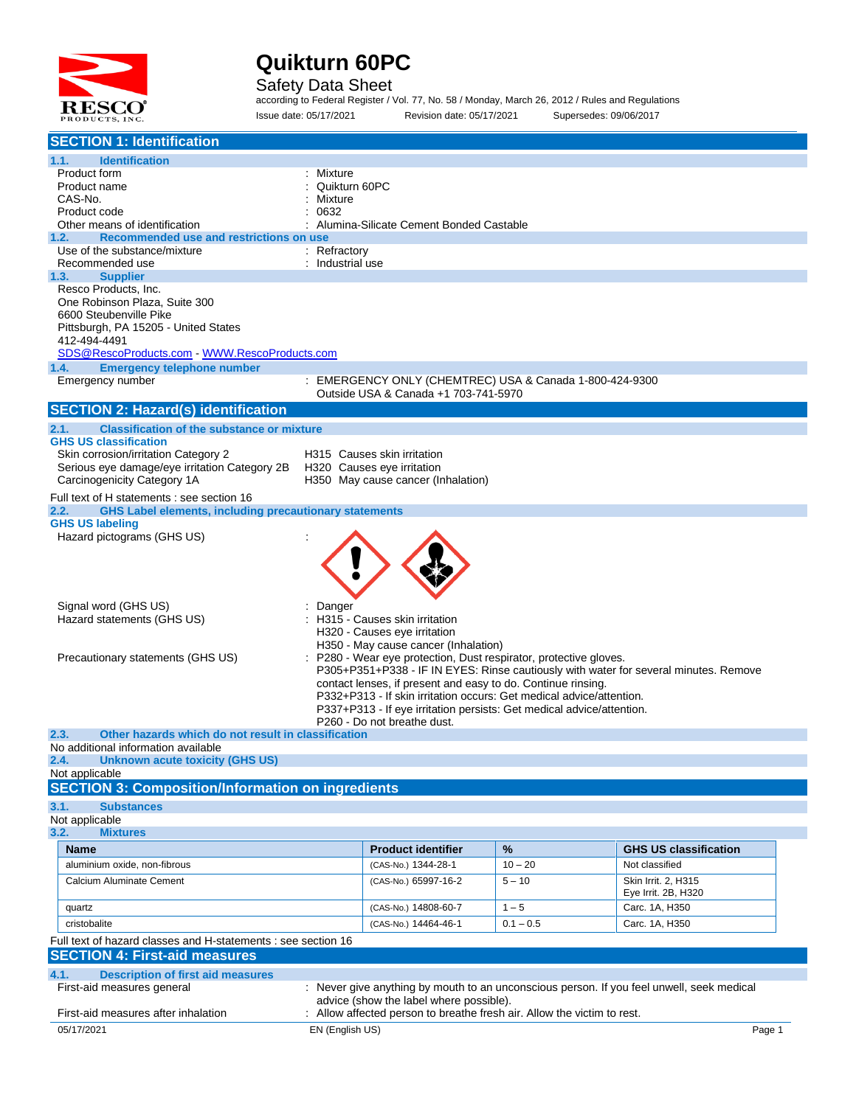

#### Safety Data Sheet

according to Federal Register / Vol. 77, No. 58 / Monday, March 26, 2012 / Rules and Regulations Issue date: 05/17/2021 Revision date: 05/17/2021 Supersedes: 09/06/2017

| <b>SECTION 1: Identification</b>                                                                                                                     |                  |                                                                       |             |                                                                                           |
|------------------------------------------------------------------------------------------------------------------------------------------------------|------------------|-----------------------------------------------------------------------|-------------|-------------------------------------------------------------------------------------------|
| 1.1.<br><b>Identification</b>                                                                                                                        |                  |                                                                       |             |                                                                                           |
| Product form                                                                                                                                         | : Mixture        |                                                                       |             |                                                                                           |
| Product name                                                                                                                                         | Quikturn 60PC    |                                                                       |             |                                                                                           |
| CAS-No.                                                                                                                                              | Mixture          |                                                                       |             |                                                                                           |
| Product code                                                                                                                                         | 0632             |                                                                       |             |                                                                                           |
| Other means of identification<br>1.2.                                                                                                                |                  | Alumina-Silicate Cement Bonded Castable                               |             |                                                                                           |
| Recommended use and restrictions on use<br>Use of the substance/mixture                                                                              | : Refractory     |                                                                       |             |                                                                                           |
| Recommended use                                                                                                                                      | : Industrial use |                                                                       |             |                                                                                           |
| 1.3.<br><b>Supplier</b>                                                                                                                              |                  |                                                                       |             |                                                                                           |
| Resco Products, Inc.                                                                                                                                 |                  |                                                                       |             |                                                                                           |
| One Robinson Plaza, Suite 300                                                                                                                        |                  |                                                                       |             |                                                                                           |
| 6600 Steubenville Pike                                                                                                                               |                  |                                                                       |             |                                                                                           |
| Pittsburgh, PA 15205 - United States<br>412-494-4491                                                                                                 |                  |                                                                       |             |                                                                                           |
| SDS@RescoProducts.com WWW.RescoProducts.com                                                                                                          |                  |                                                                       |             |                                                                                           |
| 1.4.<br><b>Emergency telephone number</b>                                                                                                            |                  |                                                                       |             |                                                                                           |
| Emergency number                                                                                                                                     |                  | : EMERGENCY ONLY (CHEMTREC) USA & Canada 1-800-424-9300               |             |                                                                                           |
|                                                                                                                                                      |                  | Outside USA & Canada +1 703-741-5970                                  |             |                                                                                           |
| <b>SECTION 2: Hazard(s) identification</b>                                                                                                           |                  |                                                                       |             |                                                                                           |
| 2.1.<br><b>Classification of the substance or mixture</b>                                                                                            |                  |                                                                       |             |                                                                                           |
| <b>GHS US classification</b>                                                                                                                         |                  |                                                                       |             |                                                                                           |
| Skin corrosion/irritation Category 2                                                                                                                 |                  | H315 Causes skin irritation                                           |             |                                                                                           |
| Serious eye damage/eye irritation Category 2B                                                                                                        |                  | H320 Causes eye irritation                                            |             |                                                                                           |
| Carcinogenicity Category 1A                                                                                                                          |                  | H350 May cause cancer (Inhalation)                                    |             |                                                                                           |
| Full text of H statements : see section 16                                                                                                           |                  |                                                                       |             |                                                                                           |
| <b>GHS Label elements, including precautionary statements</b><br>2.2.                                                                                |                  |                                                                       |             |                                                                                           |
| <b>GHS US labeling</b><br>Hazard pictograms (GHS US)                                                                                                 |                  |                                                                       |             |                                                                                           |
|                                                                                                                                                      |                  |                                                                       |             |                                                                                           |
|                                                                                                                                                      |                  |                                                                       |             |                                                                                           |
|                                                                                                                                                      |                  |                                                                       |             |                                                                                           |
|                                                                                                                                                      |                  |                                                                       |             |                                                                                           |
| Signal word (GHS US)                                                                                                                                 | Danger           |                                                                       |             |                                                                                           |
| Hazard statements (GHS US)                                                                                                                           |                  | H315 - Causes skin irritation                                         |             |                                                                                           |
| H320 - Causes eye irritation                                                                                                                         |                  |                                                                       |             |                                                                                           |
| H350 - May cause cancer (Inhalation)                                                                                                                 |                  |                                                                       |             |                                                                                           |
| P280 - Wear eye protection, Dust respirator, protective gloves.<br>Precautionary statements (GHS US)                                                 |                  |                                                                       |             |                                                                                           |
| P305+P351+P338 - IF IN EYES: Rinse cautiously with water for several minutes. Remove<br>contact lenses, if present and easy to do. Continue rinsing. |                  |                                                                       |             |                                                                                           |
|                                                                                                                                                      |                  | P332+P313 - If skin irritation occurs: Get medical advice/attention.  |             |                                                                                           |
|                                                                                                                                                      |                  | P337+P313 - If eye irritation persists: Get medical advice/attention. |             |                                                                                           |
|                                                                                                                                                      |                  | P260 - Do not breathe dust.                                           |             |                                                                                           |
| 2.3.<br>Other hazards which do not result in classification                                                                                          |                  |                                                                       |             |                                                                                           |
| No additional information available<br><b>Unknown acute toxicity (GHS US)</b><br>2.4.                                                                |                  |                                                                       |             |                                                                                           |
| Not applicable                                                                                                                                       |                  |                                                                       |             |                                                                                           |
| <b>SECTION 3: Composition/Information on ingredients</b>                                                                                             |                  |                                                                       |             |                                                                                           |
| 3.1.<br><b>Substances</b>                                                                                                                            |                  |                                                                       |             |                                                                                           |
| Not applicable                                                                                                                                       |                  |                                                                       |             |                                                                                           |
| 3.2.<br><b>Mixtures</b>                                                                                                                              |                  |                                                                       |             |                                                                                           |
| <b>Name</b>                                                                                                                                          |                  | <b>Product identifier</b>                                             | %           | <b>GHS US classification</b>                                                              |
| aluminium oxide, non-fibrous                                                                                                                         |                  | (CAS-No.) 1344-28-1                                                   | $10 - 20$   | Not classified                                                                            |
| Calcium Aluminate Cement                                                                                                                             |                  | (CAS-No.) 65997-16-2                                                  | $5 - 10$    | Skin Irrit. 2, H315                                                                       |
|                                                                                                                                                      |                  |                                                                       |             | Eye Irrit. 2B, H320                                                                       |
| quartz                                                                                                                                               |                  | (CAS-No.) 14808-60-7                                                  | $1 - 5$     | Carc. 1A, H350                                                                            |
| cristobalite                                                                                                                                         |                  | (CAS-No.) 14464-46-1                                                  | $0.1 - 0.5$ | Carc. 1A, H350                                                                            |
| Full text of hazard classes and H-statements : see section 16                                                                                        |                  |                                                                       |             |                                                                                           |
| <b>SECTION 4: First-aid measures</b>                                                                                                                 |                  |                                                                       |             |                                                                                           |
| 4.1.<br><b>Description of first aid measures</b>                                                                                                     |                  |                                                                       |             |                                                                                           |
| First-aid measures general                                                                                                                           |                  |                                                                       |             | : Never give anything by mouth to an unconscious person. If you feel unwell, seek medical |
|                                                                                                                                                      |                  | advice (show the label where possible).                               |             |                                                                                           |
| First-aid measures after inhalation                                                                                                                  |                  | Allow affected person to breathe fresh air. Allow the victim to rest. |             |                                                                                           |
| 05/17/2021                                                                                                                                           | EN (English US)  |                                                                       |             | Page 1                                                                                    |
|                                                                                                                                                      |                  |                                                                       |             |                                                                                           |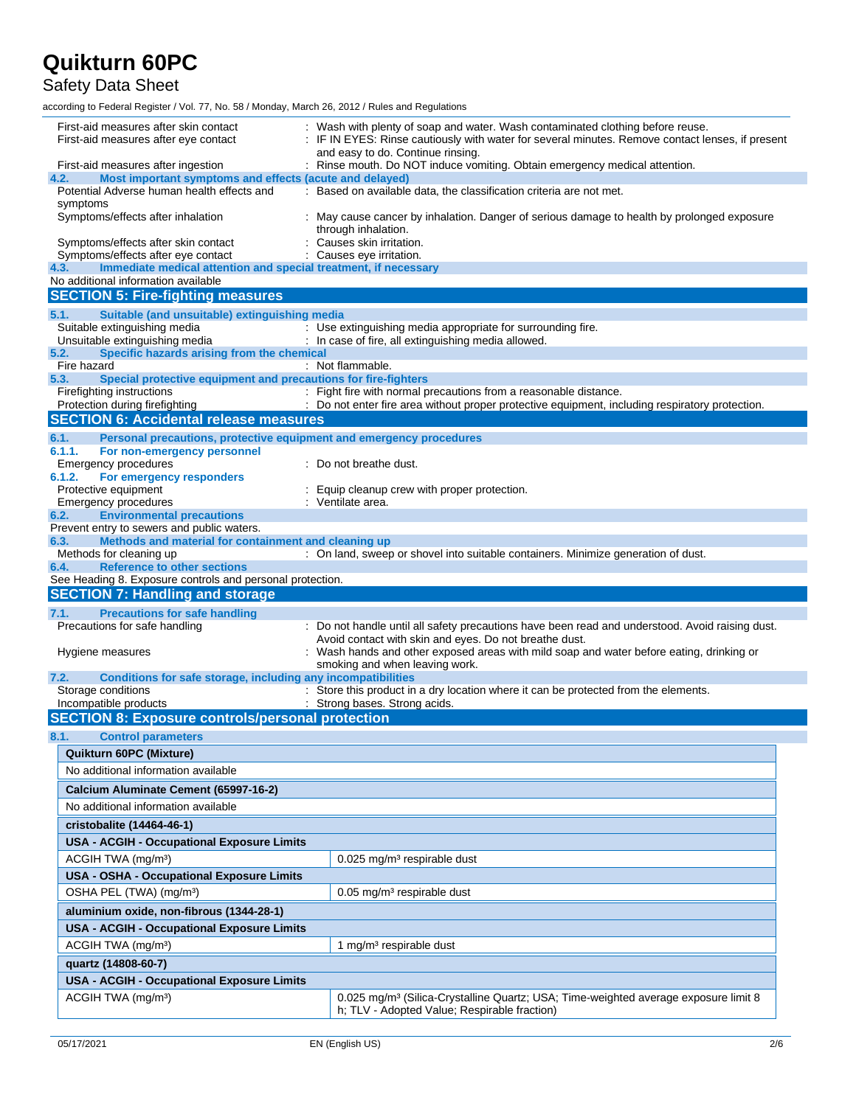Safety Data Sheet

according to Federal Register / Vol. 77, No. 58 / Monday, March 26, 2012 / Rules and Regulations

| First-aid measures after skin contact<br>First-aid measures after eye contact                                  | : Wash with plenty of soap and water. Wash contaminated clothing before reuse.<br>: IF IN EYES: Rinse cautiously with water for several minutes. Remove contact lenses, if present<br>and easy to do. Continue rinsing. |
|----------------------------------------------------------------------------------------------------------------|-------------------------------------------------------------------------------------------------------------------------------------------------------------------------------------------------------------------------|
| First-aid measures after ingestion                                                                             | : Rinse mouth. Do NOT induce vomiting. Obtain emergency medical attention.                                                                                                                                              |
| Most important symptoms and effects (acute and delayed)<br>4.2.<br>Potential Adverse human health effects and  | : Based on available data, the classification criteria are not met.                                                                                                                                                     |
| symptoms                                                                                                       |                                                                                                                                                                                                                         |
| Symptoms/effects after inhalation                                                                              | May cause cancer by inhalation. Danger of serious damage to health by prolonged exposure<br>through inhalation.                                                                                                         |
| Symptoms/effects after skin contact                                                                            | Causes skin irritation.                                                                                                                                                                                                 |
| Symptoms/effects after eye contact                                                                             | : Causes eye irritation.                                                                                                                                                                                                |
| 4.3.<br>Immediate medical attention and special treatment, if necessary<br>No additional information available |                                                                                                                                                                                                                         |
| <b>SECTION 5: Fire-fighting measures</b>                                                                       |                                                                                                                                                                                                                         |
| Suitable (and unsuitable) extinguishing media<br>5.1.                                                          |                                                                                                                                                                                                                         |
| Suitable extinguishing media                                                                                   | : Use extinguishing media appropriate for surrounding fire.                                                                                                                                                             |
| Unsuitable extinguishing media                                                                                 | : In case of fire, all extinguishing media allowed.                                                                                                                                                                     |
| Specific hazards arising from the chemical<br>5.2.                                                             |                                                                                                                                                                                                                         |
| Fire hazard                                                                                                    | : Not flammable.                                                                                                                                                                                                        |
| Special protective equipment and precautions for fire-fighters<br>5.3.<br>Firefighting instructions            | : Fight fire with normal precautions from a reasonable distance.                                                                                                                                                        |
| Protection during firefighting                                                                                 | : Do not enter fire area without proper protective equipment, including respiratory protection.                                                                                                                         |
| <b>SECTION 6: Accidental release measures</b>                                                                  |                                                                                                                                                                                                                         |
| 6.1.                                                                                                           |                                                                                                                                                                                                                         |
| Personal precautions, protective equipment and emergency procedures<br>6.1.1.<br>For non-emergency personnel   |                                                                                                                                                                                                                         |
| <b>Emergency procedures</b>                                                                                    | : Do not breathe dust.                                                                                                                                                                                                  |
| For emergency responders<br>6.1.2.                                                                             |                                                                                                                                                                                                                         |
| Protective equipment                                                                                           | Equip cleanup crew with proper protection.                                                                                                                                                                              |
| <b>Emergency procedures</b>                                                                                    | : Ventilate area.                                                                                                                                                                                                       |
| <b>Environmental precautions</b><br>6.2.<br>Prevent entry to sewers and public waters.                         |                                                                                                                                                                                                                         |
| Methods and material for containment and cleaning up<br>6.3.                                                   |                                                                                                                                                                                                                         |
| Methods for cleaning up                                                                                        | : On land, sweep or shovel into suitable containers. Minimize generation of dust.                                                                                                                                       |
| <b>Reference to other sections</b><br>6.4.                                                                     |                                                                                                                                                                                                                         |
|                                                                                                                |                                                                                                                                                                                                                         |
| See Heading 8. Exposure controls and personal protection.                                                      |                                                                                                                                                                                                                         |
| <b>SECTION 7: Handling and storage</b>                                                                         |                                                                                                                                                                                                                         |
| <b>Precautions for safe handling</b><br>7.1.                                                                   |                                                                                                                                                                                                                         |
| Precautions for safe handling                                                                                  | : Do not handle until all safety precautions have been read and understood. Avoid raising dust.                                                                                                                         |
|                                                                                                                | Avoid contact with skin and eyes. Do not breathe dust.                                                                                                                                                                  |
| Hygiene measures                                                                                               | Wash hands and other exposed areas with mild soap and water before eating, drinking or                                                                                                                                  |
| 7.2.                                                                                                           | smoking and when leaving work.                                                                                                                                                                                          |
| Conditions for safe storage, including any incompatibilities<br>Storage conditions                             | : Store this product in a dry location where it can be protected from the elements.                                                                                                                                     |
| Incompatible products                                                                                          | : Strong bases. Strong acids.                                                                                                                                                                                           |
| <b>SECTION 8: Exposure controls/personal protection</b>                                                        |                                                                                                                                                                                                                         |
| 8.1.<br><b>Control parameters</b>                                                                              |                                                                                                                                                                                                                         |
| Quikturn 60PC (Mixture)                                                                                        |                                                                                                                                                                                                                         |
| No additional information available                                                                            |                                                                                                                                                                                                                         |
|                                                                                                                |                                                                                                                                                                                                                         |
| Calcium Aluminate Cement (65997-16-2)                                                                          |                                                                                                                                                                                                                         |
| No additional information available                                                                            |                                                                                                                                                                                                                         |
| cristobalite (14464-46-1)                                                                                      |                                                                                                                                                                                                                         |
| USA - ACGIH - Occupational Exposure Limits                                                                     |                                                                                                                                                                                                                         |
| ACGIH TWA (mg/m <sup>3</sup> )                                                                                 | 0.025 mg/m <sup>3</sup> respirable dust                                                                                                                                                                                 |
| USA - OSHA - Occupational Exposure Limits                                                                      |                                                                                                                                                                                                                         |
| OSHA PEL (TWA) (mg/m <sup>3</sup> )                                                                            | 0.05 mg/m <sup>3</sup> respirable dust                                                                                                                                                                                  |
| aluminium oxide, non-fibrous (1344-28-1)                                                                       |                                                                                                                                                                                                                         |
|                                                                                                                |                                                                                                                                                                                                                         |
| <b>USA - ACGIH - Occupational Exposure Limits</b>                                                              |                                                                                                                                                                                                                         |
| ACGIH TWA (mg/m <sup>3</sup> )                                                                                 | 1 mg/m <sup>3</sup> respirable dust                                                                                                                                                                                     |
| quartz (14808-60-7)                                                                                            |                                                                                                                                                                                                                         |
| USA - ACGIH - Occupational Exposure Limits                                                                     |                                                                                                                                                                                                                         |
| ACGIH TWA (mg/m <sup>3</sup> )                                                                                 | 0.025 mg/m <sup>3</sup> (Silica-Crystalline Quartz; USA; Time-weighted average exposure limit 8<br>h; TLV - Adopted Value; Respirable fraction)                                                                         |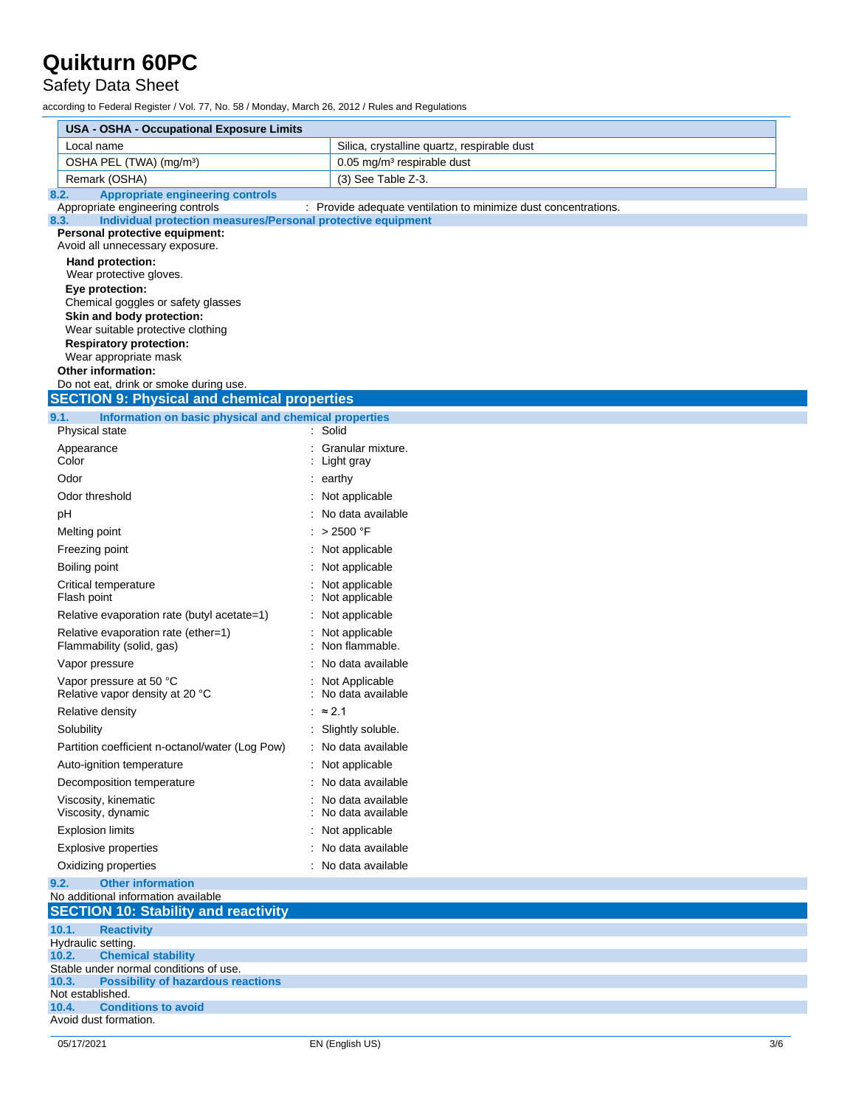### Safety Data Sheet

according to Federal Register / Vol. 77, No. 58 / Monday, March 26, 2012 / Rules and Regulations

| <b>USA - OSHA - Occupational Exposure Limits</b>                                                                                                                                                         |                                                                 |
|----------------------------------------------------------------------------------------------------------------------------------------------------------------------------------------------------------|-----------------------------------------------------------------|
| Local name                                                                                                                                                                                               | Silica, crystalline quartz, respirable dust                     |
| OSHA PEL (TWA) (mg/m <sup>3</sup> )                                                                                                                                                                      | $0.05$ mg/m <sup>3</sup> respirable dust                        |
| Remark (OSHA)                                                                                                                                                                                            | (3) See Table Z-3.                                              |
| <b>Appropriate engineering controls</b><br>8.2.                                                                                                                                                          |                                                                 |
| Appropriate engineering controls<br>Individual protection measures/Personal protective equipment<br>8.3.                                                                                                 | : Provide adequate ventilation to minimize dust concentrations. |
| Personal protective equipment:<br>Avoid all unnecessary exposure.                                                                                                                                        |                                                                 |
| Hand protection:<br>Wear protective gloves.<br>Eye protection:<br>Chemical goggles or safety glasses<br>Skin and body protection:<br>Wear suitable protective clothing<br><b>Respiratory protection:</b> |                                                                 |
| Wear appropriate mask<br><b>Other information:</b>                                                                                                                                                       |                                                                 |
| Do not eat, drink or smoke during use.                                                                                                                                                                   |                                                                 |
| <b>SECTION 9: Physical and chemical properties</b>                                                                                                                                                       |                                                                 |
| Information on basic physical and chemical properties<br>9.1.                                                                                                                                            |                                                                 |
| Physical state                                                                                                                                                                                           | : Solid                                                         |
| Appearance<br>Color                                                                                                                                                                                      | Granular mixture.<br>: Light gray                               |
| Odor                                                                                                                                                                                                     | $:$ earthy                                                      |
| Odor threshold                                                                                                                                                                                           | : Not applicable                                                |
| pH                                                                                                                                                                                                       | : No data available                                             |
| Melting point                                                                                                                                                                                            | : > 2500 °F                                                     |
| Freezing point                                                                                                                                                                                           | Not applicable                                                  |
| Boiling point                                                                                                                                                                                            | : Not applicable                                                |
| Critical temperature<br>Flash point                                                                                                                                                                      | : Not applicable<br>Not applicable                              |
| Relative evaporation rate (butyl acetate=1)                                                                                                                                                              | Not applicable                                                  |
| Relative evaporation rate (ether=1)<br>Flammability (solid, gas)                                                                                                                                         | Not applicable<br>Non flammable.                                |
| Vapor pressure                                                                                                                                                                                           | No data available                                               |
| Vapor pressure at 50 °C<br>Relative vapor density at 20 °C                                                                                                                                               | : Not Applicable<br>No data available                           |
| Relative density                                                                                                                                                                                         | : $\approx$ 2.1                                                 |
| Solubility                                                                                                                                                                                               | : Slightly soluble.                                             |
| Partition coefficient n-octanol/water (Log Pow)                                                                                                                                                          | : No data available                                             |
| Auto-ignition temperature                                                                                                                                                                                | : Not applicable                                                |
| Decomposition temperature                                                                                                                                                                                | No data available                                               |
| Viscosity, kinematic<br>Viscosity, dynamic                                                                                                                                                               | No data available<br>No data available                          |
| <b>Explosion limits</b>                                                                                                                                                                                  | Not applicable                                                  |
| <b>Explosive properties</b>                                                                                                                                                                              | No data available                                               |
| Oxidizing properties                                                                                                                                                                                     | : No data available                                             |
| <b>Other information</b><br>9.2.                                                                                                                                                                         |                                                                 |
| No additional information available                                                                                                                                                                      |                                                                 |
| <b>SECTION 10: Stability and reactivity</b>                                                                                                                                                              |                                                                 |
| 10.1.<br><b>Reactivity</b><br>Hydraulic setting.                                                                                                                                                         |                                                                 |
| <b>Chemical stability</b><br>10.2.                                                                                                                                                                       |                                                                 |
| Stable under normal conditions of use.<br>10.3.<br><b>Possibility of hazardous reactions</b>                                                                                                             |                                                                 |
| Not established.                                                                                                                                                                                         |                                                                 |
| <b>Conditions to avoid</b><br>10.4.<br>Avoid dust formation.                                                                                                                                             |                                                                 |
|                                                                                                                                                                                                          |                                                                 |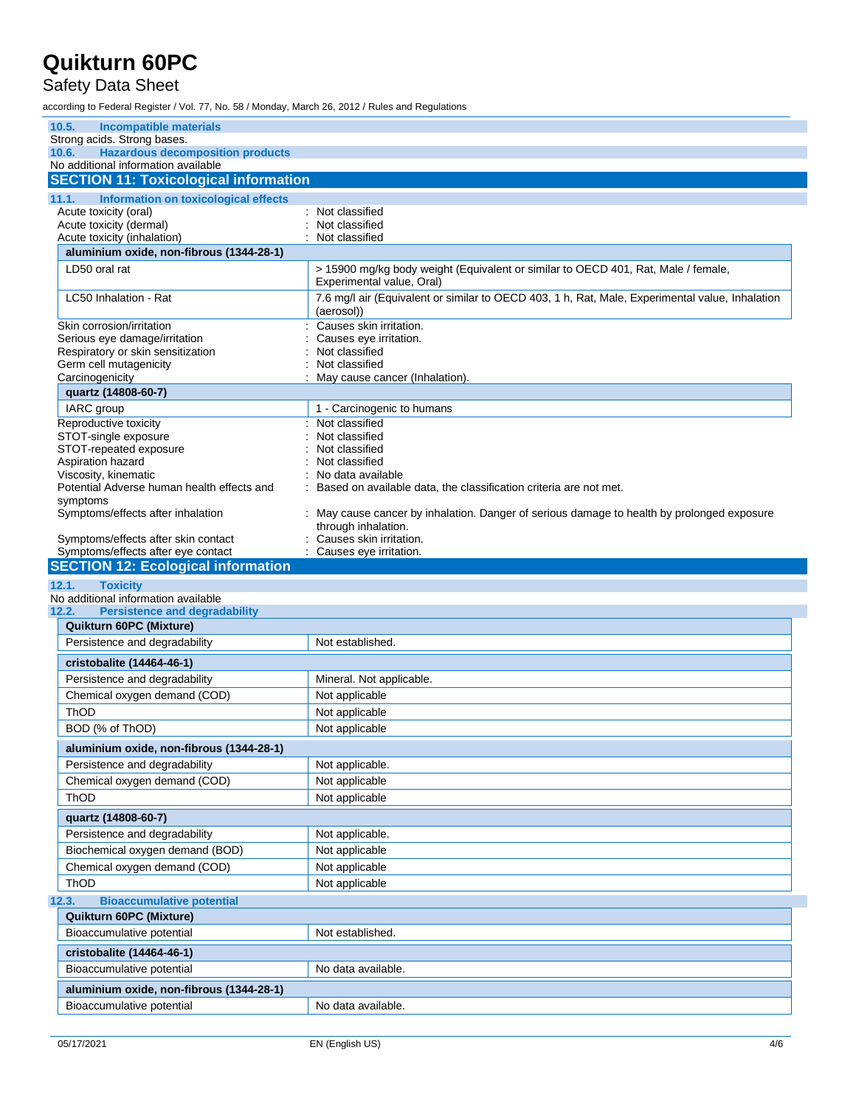### Safety Data Sheet

according to Federal Register / Vol. 77, No. 58 / Monday, March 26, 2012 / Rules and Regulations

| 10.5.<br><b>Incompatible materials</b>                                                                                 |                                                                                                                |
|------------------------------------------------------------------------------------------------------------------------|----------------------------------------------------------------------------------------------------------------|
| Strong acids. Strong bases.                                                                                            |                                                                                                                |
| <b>Hazardous decomposition products</b><br>10.6.<br>No additional information available                                |                                                                                                                |
| <b>SECTION 11: Toxicological information</b>                                                                           |                                                                                                                |
|                                                                                                                        |                                                                                                                |
| Information on toxicological effects<br>11.1.<br>Acute toxicity (oral)                                                 | Not classified                                                                                                 |
| Acute toxicity (dermal)                                                                                                | Not classified                                                                                                 |
| Acute toxicity (inhalation)                                                                                            | Not classified                                                                                                 |
| aluminium oxide, non-fibrous (1344-28-1)                                                                               |                                                                                                                |
| LD50 oral rat                                                                                                          | > 15900 mg/kg body weight (Equivalent or similar to OECD 401, Rat, Male / female,<br>Experimental value, Oral) |
| LC50 Inhalation - Rat                                                                                                  | 7.6 mg/l air (Equivalent or similar to OECD 403, 1 h, Rat, Male, Experimental value, Inhalation<br>(aerosol))  |
| Skin corrosion/irritation                                                                                              | Causes skin irritation.                                                                                        |
| Serious eye damage/irritation                                                                                          | Causes eye irritation.                                                                                         |
| Respiratory or skin sensitization<br>Germ cell mutagenicity                                                            | Not classified<br>Not classified                                                                               |
| Carcinogenicity                                                                                                        | May cause cancer (Inhalation).                                                                                 |
| quartz (14808-60-7)                                                                                                    |                                                                                                                |
| IARC group                                                                                                             | 1 - Carcinogenic to humans                                                                                     |
| Reproductive toxicity                                                                                                  | : Not classified                                                                                               |
| STOT-single exposure                                                                                                   | Not classified                                                                                                 |
| STOT-repeated exposure                                                                                                 | Not classified                                                                                                 |
| Aspiration hazard<br>Viscosity, kinematic                                                                              | Not classified<br>No data available                                                                            |
| Potential Adverse human health effects and                                                                             | Based on available data, the classification criteria are not met.                                              |
| symptoms                                                                                                               |                                                                                                                |
| Symptoms/effects after inhalation                                                                                      | May cause cancer by inhalation. Danger of serious damage to health by prolonged exposure                       |
|                                                                                                                        | through inhalation.                                                                                            |
| Symptoms/effects after skin contact<br>Symptoms/effects after eye contact                                              | Causes skin irritation.<br>: Causes eye irritation.                                                            |
|                                                                                                                        |                                                                                                                |
|                                                                                                                        |                                                                                                                |
|                                                                                                                        |                                                                                                                |
| 12.1.<br><b>Toxicity</b>                                                                                               |                                                                                                                |
| 12.2.<br><b>Persistence and degradability</b>                                                                          |                                                                                                                |
| Quikturn 60PC (Mixture)                                                                                                |                                                                                                                |
| Persistence and degradability                                                                                          | Not established.                                                                                               |
| cristobalite (14464-46-1)                                                                                              |                                                                                                                |
| Persistence and degradability                                                                                          | Mineral. Not applicable.                                                                                       |
| Chemical oxygen demand (COD)                                                                                           | Not applicable                                                                                                 |
| ThOD                                                                                                                   | Not applicable                                                                                                 |
| BOD (% of ThOD)                                                                                                        | Not applicable                                                                                                 |
| aluminium oxide, non-fibrous (1344-28-1)                                                                               |                                                                                                                |
| Persistence and degradability                                                                                          | Not applicable.                                                                                                |
| Chemical oxygen demand (COD)                                                                                           | Not applicable                                                                                                 |
| ThOD                                                                                                                   | Not applicable                                                                                                 |
|                                                                                                                        |                                                                                                                |
| quartz (14808-60-7)                                                                                                    |                                                                                                                |
| Persistence and degradability                                                                                          | Not applicable.                                                                                                |
| Biochemical oxygen demand (BOD)                                                                                        | Not applicable                                                                                                 |
| Chemical oxygen demand (COD)<br>ThOD                                                                                   | Not applicable<br>Not applicable                                                                               |
|                                                                                                                        |                                                                                                                |
| <b>Bioaccumulative potential</b>                                                                                       |                                                                                                                |
| Quikturn 60PC (Mixture)                                                                                                | Not established.                                                                                               |
| Bioaccumulative potential                                                                                              |                                                                                                                |
| <b>SECTION 12: Ecological information</b><br>No additional information available<br>12.3.<br>cristobalite (14464-46-1) |                                                                                                                |
| Bioaccumulative potential                                                                                              | No data available.                                                                                             |
| aluminium oxide, non-fibrous (1344-28-1)<br>Bioaccumulative potential                                                  | No data available.                                                                                             |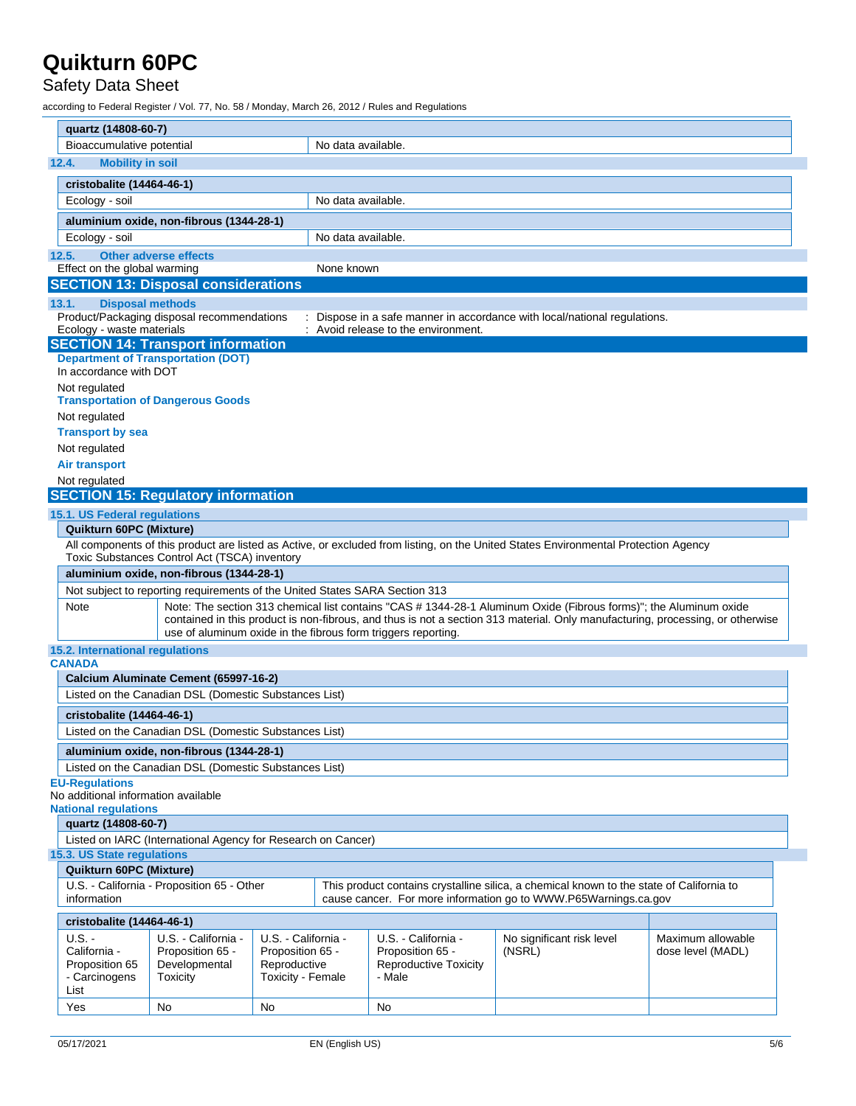### Safety Data Sheet

according to Federal Register / Vol. 77, No. 58 / Monday, March 26, 2012 / Rules and Regulations

|       | quartz (14808-60-7)                                                                                                                                                                                                              |                                                                             |                                   |                    |                                                               |                                                                                                                                                                                                                                                     |                   |
|-------|----------------------------------------------------------------------------------------------------------------------------------------------------------------------------------------------------------------------------------|-----------------------------------------------------------------------------|-----------------------------------|--------------------|---------------------------------------------------------------|-----------------------------------------------------------------------------------------------------------------------------------------------------------------------------------------------------------------------------------------------------|-------------------|
|       | Bioaccumulative potential                                                                                                                                                                                                        |                                                                             |                                   | No data available. |                                                               |                                                                                                                                                                                                                                                     |                   |
| 12.4. | <b>Mobility in soil</b>                                                                                                                                                                                                          |                                                                             |                                   |                    |                                                               |                                                                                                                                                                                                                                                     |                   |
|       | cristobalite (14464-46-1)                                                                                                                                                                                                        |                                                                             |                                   |                    |                                                               |                                                                                                                                                                                                                                                     |                   |
|       | Ecology - soil                                                                                                                                                                                                                   |                                                                             |                                   | No data available. |                                                               |                                                                                                                                                                                                                                                     |                   |
|       |                                                                                                                                                                                                                                  | aluminium oxide, non-fibrous (1344-28-1)                                    |                                   |                    |                                                               |                                                                                                                                                                                                                                                     |                   |
|       | Ecology - soil                                                                                                                                                                                                                   |                                                                             |                                   | No data available. |                                                               |                                                                                                                                                                                                                                                     |                   |
| 12.5. |                                                                                                                                                                                                                                  | <b>Other adverse effects</b>                                                |                                   |                    |                                                               |                                                                                                                                                                                                                                                     |                   |
|       | Effect on the global warming                                                                                                                                                                                                     |                                                                             |                                   | None known         |                                                               |                                                                                                                                                                                                                                                     |                   |
|       |                                                                                                                                                                                                                                  | <b>SECTION 13: Disposal considerations</b>                                  |                                   |                    |                                                               |                                                                                                                                                                                                                                                     |                   |
| 13.1. | <b>Disposal methods</b>                                                                                                                                                                                                          |                                                                             |                                   |                    |                                                               |                                                                                                                                                                                                                                                     |                   |
|       |                                                                                                                                                                                                                                  | Product/Packaging disposal recommendations                                  |                                   |                    |                                                               | : Dispose in a safe manner in accordance with local/national regulations.                                                                                                                                                                           |                   |
|       | Ecology - waste materials                                                                                                                                                                                                        |                                                                             |                                   |                    | : Avoid release to the environment.                           |                                                                                                                                                                                                                                                     |                   |
|       |                                                                                                                                                                                                                                  | <b>SECTION 14: Transport information</b>                                    |                                   |                    |                                                               |                                                                                                                                                                                                                                                     |                   |
|       | In accordance with DOT                                                                                                                                                                                                           | <b>Department of Transportation (DOT)</b>                                   |                                   |                    |                                                               |                                                                                                                                                                                                                                                     |                   |
|       | Not regulated                                                                                                                                                                                                                    | <b>Transportation of Dangerous Goods</b>                                    |                                   |                    |                                                               |                                                                                                                                                                                                                                                     |                   |
|       | Not regulated                                                                                                                                                                                                                    |                                                                             |                                   |                    |                                                               |                                                                                                                                                                                                                                                     |                   |
|       | <b>Transport by sea</b>                                                                                                                                                                                                          |                                                                             |                                   |                    |                                                               |                                                                                                                                                                                                                                                     |                   |
|       | Not regulated                                                                                                                                                                                                                    |                                                                             |                                   |                    |                                                               |                                                                                                                                                                                                                                                     |                   |
|       | <b>Air transport</b>                                                                                                                                                                                                             |                                                                             |                                   |                    |                                                               |                                                                                                                                                                                                                                                     |                   |
|       | Not regulated                                                                                                                                                                                                                    |                                                                             |                                   |                    |                                                               |                                                                                                                                                                                                                                                     |                   |
|       |                                                                                                                                                                                                                                  | <b>SECTION 15: Regulatory information</b>                                   |                                   |                    |                                                               |                                                                                                                                                                                                                                                     |                   |
|       | 15.1. US Federal regulations                                                                                                                                                                                                     |                                                                             |                                   |                    |                                                               |                                                                                                                                                                                                                                                     |                   |
|       | Quikturn 60PC (Mixture)                                                                                                                                                                                                          |                                                                             |                                   |                    |                                                               |                                                                                                                                                                                                                                                     |                   |
|       | All components of this product are listed as Active, or excluded from listing, on the United States Environmental Protection Agency<br>Toxic Substances Control Act (TSCA) inventory<br>aluminium oxide, non-fibrous (1344-28-1) |                                                                             |                                   |                    |                                                               |                                                                                                                                                                                                                                                     |                   |
|       |                                                                                                                                                                                                                                  |                                                                             |                                   |                    |                                                               |                                                                                                                                                                                                                                                     |                   |
|       |                                                                                                                                                                                                                                  | Not subject to reporting requirements of the United States SARA Section 313 |                                   |                    |                                                               |                                                                                                                                                                                                                                                     |                   |
|       | Note                                                                                                                                                                                                                             |                                                                             |                                   |                    | use of aluminum oxide in the fibrous form triggers reporting. | Note: The section 313 chemical list contains "CAS # 1344-28-1 Aluminum Oxide (Fibrous forms)"; the Aluminum oxide<br>contained in this product is non-fibrous, and thus is not a section 313 material. Only manufacturing, processing, or otherwise |                   |
|       | 15.2. International regulations<br><b>CANADA</b>                                                                                                                                                                                 |                                                                             |                                   |                    |                                                               |                                                                                                                                                                                                                                                     |                   |
|       |                                                                                                                                                                                                                                  | Calcium Aluminate Cement (65997-16-2)                                       |                                   |                    |                                                               |                                                                                                                                                                                                                                                     |                   |
|       |                                                                                                                                                                                                                                  | Listed on the Canadian DSL (Domestic Substances List)                       |                                   |                    |                                                               |                                                                                                                                                                                                                                                     |                   |
|       |                                                                                                                                                                                                                                  |                                                                             |                                   |                    |                                                               |                                                                                                                                                                                                                                                     |                   |
|       | cristobalite (14464-46-1)                                                                                                                                                                                                        |                                                                             |                                   |                    |                                                               |                                                                                                                                                                                                                                                     |                   |
|       |                                                                                                                                                                                                                                  | Listed on the Canadian DSL (Domestic Substances List)                       |                                   |                    |                                                               |                                                                                                                                                                                                                                                     |                   |
|       | aluminium oxide, non-fibrous (1344-28-1)                                                                                                                                                                                         |                                                                             |                                   |                    |                                                               |                                                                                                                                                                                                                                                     |                   |
|       |                                                                                                                                                                                                                                  | Listed on the Canadian DSL (Domestic Substances List)                       |                                   |                    |                                                               |                                                                                                                                                                                                                                                     |                   |
|       | <b>EU-Regulations</b><br>No additional information available                                                                                                                                                                     |                                                                             |                                   |                    |                                                               |                                                                                                                                                                                                                                                     |                   |
|       | <b>National regulations</b><br>quartz (14808-60-7)                                                                                                                                                                               |                                                                             |                                   |                    |                                                               |                                                                                                                                                                                                                                                     |                   |
|       |                                                                                                                                                                                                                                  | Listed on IARC (International Agency for Research on Cancer)                |                                   |                    |                                                               |                                                                                                                                                                                                                                                     |                   |
|       | 15.3. US State regulations                                                                                                                                                                                                       |                                                                             |                                   |                    |                                                               |                                                                                                                                                                                                                                                     |                   |
|       | Quikturn 60PC (Mixture)                                                                                                                                                                                                          |                                                                             |                                   |                    |                                                               |                                                                                                                                                                                                                                                     |                   |
|       | information                                                                                                                                                                                                                      | U.S. - California - Proposition 65 - Other                                  |                                   |                    |                                                               | This product contains crystalline silica, a chemical known to the state of California to<br>cause cancer. For more information go to WWW.P65Warnings.ca.gov                                                                                         |                   |
|       | cristobalite (14464-46-1)                                                                                                                                                                                                        |                                                                             |                                   |                    |                                                               |                                                                                                                                                                                                                                                     |                   |
|       | U.S. -                                                                                                                                                                                                                           | U.S. - California -                                                         | U.S. - California -               |                    | U.S. - California -                                           | No significant risk level                                                                                                                                                                                                                           | Maximum allowable |
|       | California -                                                                                                                                                                                                                     | Proposition 65 -                                                            | Proposition 65 -                  |                    | Proposition 65 -                                              | (NSRL)                                                                                                                                                                                                                                              | dose level (MADL) |
|       | Proposition 65<br>- Carcinogens                                                                                                                                                                                                  | Developmental<br>Toxicity                                                   | Reproductive<br>Toxicity - Female |                    | <b>Reproductive Toxicity</b><br>- Male                        |                                                                                                                                                                                                                                                     |                   |
|       | List                                                                                                                                                                                                                             |                                                                             |                                   |                    |                                                               |                                                                                                                                                                                                                                                     |                   |
|       | Yes                                                                                                                                                                                                                              | No                                                                          | No                                |                    | No                                                            |                                                                                                                                                                                                                                                     |                   |
|       |                                                                                                                                                                                                                                  |                                                                             |                                   |                    |                                                               |                                                                                                                                                                                                                                                     |                   |